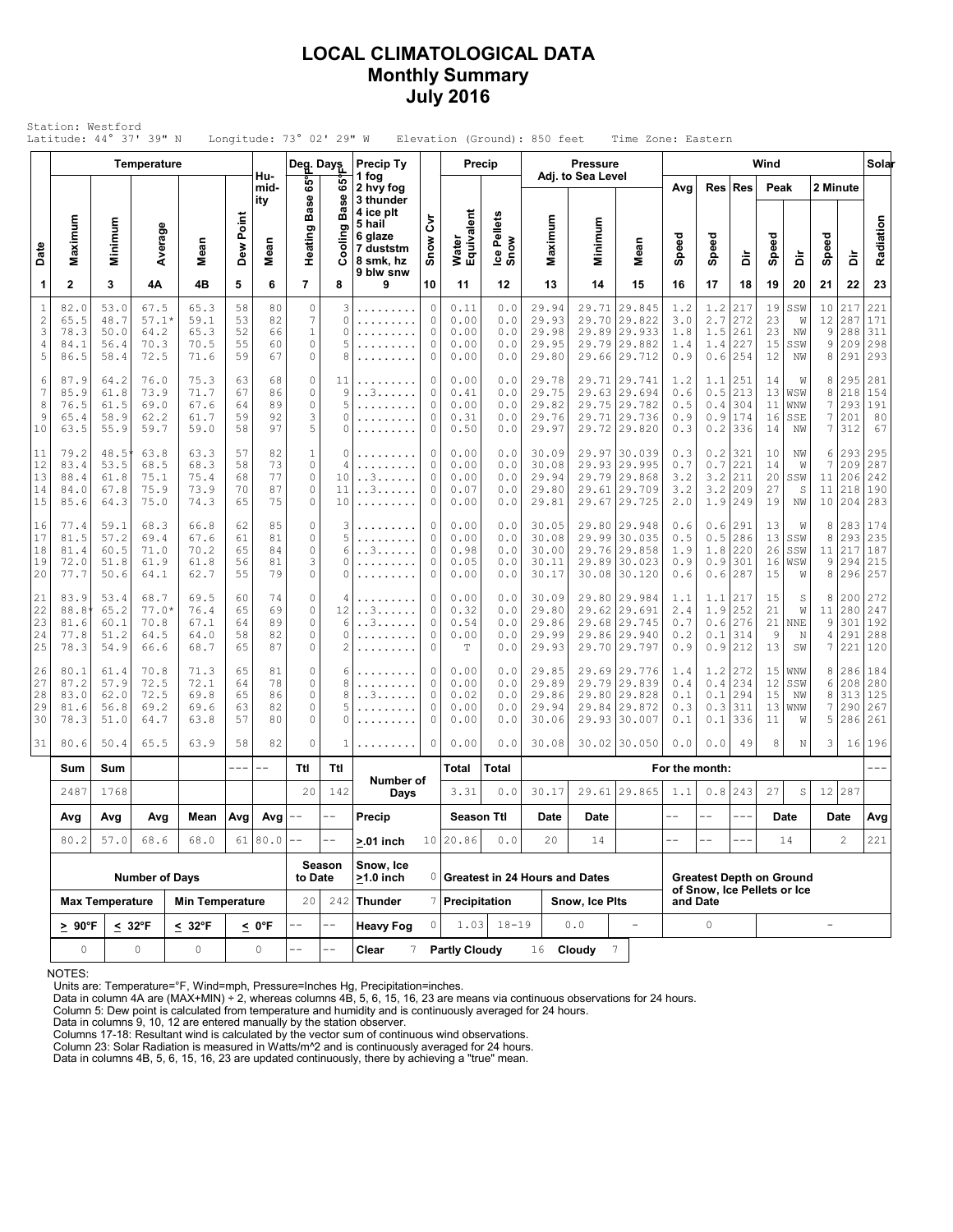### **LOCAL CLIMATOLOGICAL DATA Monthly Summary July 2016**

|                                    | Station: Westford<br>Latitude: 44° 37' 39" N |                                      |                                         |                                      |                            |                               | Longitude: $73^{\circ}$ 02' 29" W                                       |                              |                                                                                                 |                                 |                                      |                                   | Elevation (Ground): 850 feet              |                                      | Time Zone: Eastern                                                      |                                 |                                         |                                 |                            |                                                |                         |                                    |                                 |
|------------------------------------|----------------------------------------------|--------------------------------------|-----------------------------------------|--------------------------------------|----------------------------|-------------------------------|-------------------------------------------------------------------------|------------------------------|-------------------------------------------------------------------------------------------------|---------------------------------|--------------------------------------|-----------------------------------|-------------------------------------------|--------------------------------------|-------------------------------------------------------------------------|---------------------------------|-----------------------------------------|---------------------------------|----------------------------|------------------------------------------------|-------------------------|------------------------------------|---------------------------------|
|                                    |                                              |                                      | Temperature                             |                                      |                            | Hu-                           | Deg. Days                                                               |                              | <b>Precip Ty</b><br>1 fog                                                                       |                                 |                                      | Precip                            |                                           | <b>Pressure</b><br>Adj. to Sea Level |                                                                         |                                 |                                         |                                 | Wind                       |                                                |                         |                                    | Solar                           |
| Date                               | Maximum                                      | Minimum                              | Average                                 | Mean                                 | Dew Point                  | mid-<br>ity<br>Mean           | ទី<br><b>Base</b><br>Heating <b>F</b>                                   | ဖိ<br><b>Base</b><br>Cooling | 2 hvy fog<br>3 thunder<br>4 ice plt<br>5 hail<br>6 glaze<br>7 duststm<br>8 smk, hz<br>9 blw snw | δ<br>Snow                       | Water<br>Equivalent                  | Ice Pellets<br>Snow               | Maximum                                   | Minimum                              | Mean                                                                    | Avg<br>Speed                    | Speed                                   | Res Res<br>à                    | Peak<br>Speed              | ă                                              | 2 Minute<br>Speed       | ă                                  | Radiation                       |
| 1                                  | $\mathbf{2}$                                 | 3                                    | 4Α                                      | 4B                                   | 5                          | 6                             | $\overline{7}$                                                          | 8                            | 9                                                                                               | 10                              | 11                                   | 12                                | 13                                        | 14                                   | 15                                                                      | 16                              | 17                                      | 18                              | 19                         | 20                                             | 21                      | 22                                 | 23                              |
| $1\,$<br>$\sqrt{2}$<br>3<br>4<br>5 | 82.0<br>65.5<br>78.3<br>84.1<br>86.5         | 53.0<br>48.7<br>50.0<br>56.4<br>58.4 | 67.5<br>$57.1*$<br>64.2<br>70.3<br>72.5 | 65.3<br>59.1<br>65.3<br>70.5<br>71.6 | 58<br>53<br>52<br>55<br>59 | 80<br>82<br>66<br>60<br>67    | $\circ$<br>$\boldsymbol{7}$<br>$\mathbf 1$<br>$\mathbb O$<br>$\circ$    | 3<br>0<br>0<br>5<br>8        | .<br>.                                                                                          | 0<br>0<br>0<br>0<br>0           | 0.11<br>0.00<br>0.00<br>0.00<br>0.00 | 0.0<br>0.0<br>0.0<br>0.0<br>0.0   | 29.94<br>29.93<br>29.98<br>29.95<br>29.80 | 29.71                                | 29.845<br>29.70 29.822<br>29.89 29.933<br>29.79 29.882<br>29.66 29.712  | 1.2<br>3.0<br>1.8<br>1.4<br>0.9 | 1.2<br>2.7<br>1.5<br>1.4<br>0.6         | 217<br>272<br>261<br>227<br>254 | 19<br>23<br>23<br>15<br>12 | SSW<br>W<br>NW<br>SSW<br>ΝW                    | 10<br>12<br>9<br>9<br>8 | 217<br>287<br>288<br>209<br>291    | 221<br>171<br>311<br>298<br>293 |
| 6<br>7<br>8<br>9<br>10             | 87.9<br>85.9<br>76.5<br>65.4<br>63.5         | 64.2<br>61.8<br>61.5<br>58.9<br>55.9 | 76.0<br>73.9<br>69.0<br>62.2<br>59.7    | 75.3<br>71.7<br>67.6<br>61.7<br>59.0 | 63<br>67<br>64<br>59<br>58 | 68<br>86<br>89<br>92<br>97    | $\circ$<br>$\mathbb O$<br>$\mathbb O$<br>3<br>5                         | 11<br>9<br>5<br>0<br>0       | . . 3.<br>.                                                                                     | 0<br>0<br>0<br>$\mathbb O$<br>0 | 0.00<br>0.41<br>0.00<br>0.31<br>0.50 | 0.0<br>0.0<br>0.0<br>0.0<br>0.0   | 29.78<br>29.75<br>29.82<br>29.76<br>29.97 | 29.71                                | 29.71 29.741<br>29.63 29.694<br>29.75 29.782<br>29.736<br>29.72 29.820  | 1.2<br>0.6<br>0.5<br>0.9<br>0.3 | 1.1<br>0.5<br>0.4<br>0.9<br>0.2         | 251<br>213<br>304<br>174<br>336 | 14<br>13<br>11<br>16<br>14 | W<br>WSW<br>WNW<br>SSE<br>NW                   | 8<br>8<br>7<br>7<br>7   | 295<br>218<br>293<br>201<br>312    | 281<br>154<br>191<br>80<br>67   |
| 11<br>12<br>13<br>14<br>15         | 79.2<br>83.4<br>88.4<br>84.0<br>85.6         | 48.5<br>53.5<br>61.8<br>67.8<br>64.3 | 63.8<br>68.5<br>75.1<br>75.9<br>75.0    | 63.3<br>68.3<br>75.4<br>73.9<br>74.3 | 57<br>58<br>68<br>70<br>65 | 82<br>73<br>77<br>87<br>75    | $\mathbf 1$<br>$\mathbb O$<br>$\mathbb O$<br>$\mathbb O$<br>$\mathbb O$ | 0<br>4<br>10<br>11<br>10     | . . 3.<br>. . 3                                                                                 | 0<br>0<br>0<br>0<br>$\mathbb O$ | 0.00<br>0.00<br>0.00<br>0.07<br>0.00 | 0.0<br>0.0<br>0.0<br>0.0<br>0.0   | 30.09<br>30.08<br>29.94<br>29.80<br>29.81 | 29.79<br>29.61<br>29.67              | 29.97 30.039<br>29.93 29.995<br>29.868<br>29.709<br>29.725              | 0.3<br>0.7<br>3.2<br>3.2<br>2.0 | 0.2<br>0.7<br>3.2<br>3.2<br>1.9         | 321<br>221<br>211<br>209<br>249 | 10<br>14<br>20<br>27<br>19 | ΝW<br>W<br>SSW<br>S<br>ΝW                      | 6<br>7<br>11<br>11      | 293<br>209<br>206<br>218<br>10 204 | 295<br>287<br>242<br>190<br>283 |
| 16<br>17<br>18<br>19<br>20         | 77.4<br>81.5<br>81.4<br>72.0<br>77.7         | 59.1<br>57.2<br>60.5<br>51.8<br>50.6 | 68.3<br>69.4<br>71.0<br>61.9<br>64.1    | 66.8<br>67.6<br>70.2<br>61.8<br>62.7 | 62<br>61<br>65<br>56<br>55 | 85<br>81<br>84<br>81<br>79    | 0<br>$\mathbb O$<br>$\mathbb O$<br>3<br>$\mathbb O$                     | 3<br>5<br>6<br>0<br>0        | .<br>. . 3.<br>.                                                                                | 0<br>0<br>0<br>$\circ$<br>0     | 0.00<br>0.00<br>0.98<br>0.05<br>0.00 | 0.0<br>0.0<br>0.0<br>0.0<br>0.0   | 30.05<br>30.08<br>30.00<br>30.11<br>30.17 | 29.89                                | 29.80 29.948<br>29.99 30.035<br>29.76 29.858<br>30.023<br>30.08 30.120  | 0.6<br>0.5<br>1.9<br>0.9<br>0.6 | 0.6<br>0.5<br>1.8<br>0.9<br>0.6         | 291<br>286<br>220<br>301<br>287 | 13<br>13<br>26<br>16<br>15 | W<br>SSW<br>SSW<br>WSW<br>W                    | 8<br>8<br>11<br>9<br>8  | 283<br>293<br>217<br>294<br>296    | 174<br>235<br>187<br>215<br>257 |
| 21<br>22<br>23<br>24<br>25         | 83.9<br>88.8<br>81.6<br>77.8<br>78.3         | 53.4<br>65.2<br>60.1<br>51.2<br>54.9 | 68.7<br>$77.0*$<br>70.8<br>64.5<br>66.6 | 69.5<br>76.4<br>67.1<br>64.0<br>68.7 | 60<br>65<br>64<br>58<br>65 | 74<br>69<br>89<br>82<br>87    | 0<br>$\mathbb O$<br>$\mathbb O$<br>$\mathbb O$<br>0                     | 4<br>12<br>6<br>0<br>2       | . . 3.<br>. . 3<br>.                                                                            | 0<br>0<br>$\mathbb O$<br>0<br>0 | 0.00<br>0.32<br>0.54<br>0.00<br>Т    | 0.0<br>0.0<br>0.0<br>0.0<br>0.0   | 30.09<br>29.80<br>29.86<br>29.99<br>29.93 | 29.62                                | 29.80 29.984<br> 29.691<br>29.68 29.745<br>29.86 29.940<br>29.70 29.797 | 1.1<br>2.4<br>0.7<br>0.2<br>0.9 | 1.1<br>1.9<br>0.6<br>0.1<br>0.9         | 217<br>252<br>276<br>314<br>212 | 15<br>21<br>21<br>9<br>13  | S<br>W<br>$\ensuremath{\text{NNE}}$<br>N<br>SW | 8<br>11<br>9<br>4<br>7  | 200<br>280<br>301<br>291<br>221    | 272<br>247<br>192<br>288<br>120 |
| 26<br>27<br>28<br>29<br>30         | 80.1<br>87.2<br>83.0<br>81.6<br>78.3         | 61.4<br>57.9<br>62.0<br>56.8<br>51.0 | 70.8<br>72.5<br>72.5<br>69.2<br>64.7    | 71.3<br>72.1<br>69.8<br>69.6<br>63.8 | 65<br>64<br>65<br>63<br>57 | 81<br>78<br>86<br>82<br>80    | 0<br>$\mathbb O$<br>$\mathbb O$<br>$\mathbb O$<br>$\circ$               | 6<br>8<br>8<br>5<br>0        | . . 3.                                                                                          | 0<br>0<br>0<br>0<br>0           | 0.00<br>0.00<br>0.02<br>0.00<br>0.00 | 0.0<br>0.0<br>0.0<br>$0.0$<br>0.0 | 29.85<br>29.89<br>29.86<br>29.94<br>30.06 | 29.79<br>29.84                       | 29.69 29.776<br>29.839<br>29.80 29.828<br>29.872<br>29.93 30.007        | 1.4<br>0.4<br>0.1<br>0.3<br>0.1 | 1.2<br>0.4<br>0.1<br>0.3<br>0.1         | 272<br>234<br>294<br>311<br>336 | 15<br>12<br>15<br>13<br>11 | WNW<br>SSW<br>NW<br>WNW<br>W                   | 8<br>6<br>8<br>7<br>5   | 286<br>208<br>313<br>290<br>286    | 184<br>280<br>125<br>267<br>261 |
| 31                                 | 80.6                                         | 50.4                                 | 65.5                                    | 63.9                                 | 58                         | 82                            | $\mathbb O$                                                             | 1                            | .                                                                                               | 0                               | 0.00                                 | 0.0                               | 30.08                                     |                                      | $30.02$ 30.050                                                          | 0.0                             | 0.0                                     | 49                              | 8                          | Ν                                              | 3                       | 16                                 | 196                             |
|                                    | Sum                                          | Sum                                  |                                         |                                      | $---$                      | $- -$                         | Ttl                                                                     | Ttl                          | Number of                                                                                       |                                 | Total                                | Total                             |                                           |                                      |                                                                         | For the month:                  |                                         |                                 |                            |                                                |                         |                                    |                                 |
|                                    | 2487                                         | 1768                                 |                                         |                                      |                            |                               | 20                                                                      | 142                          | Days                                                                                            |                                 | 3.31                                 | 0.0                               | 30.17                                     |                                      | 29.61 29.865                                                            | 1.1                             | 0.8                                     | 243                             | 27                         | S                                              |                         | 12 287                             |                                 |
|                                    | Avg<br>80.2                                  | Avg<br>57.0                          | Avg<br>68.6                             | Mean                                 |                            | Avg $\left $ Avg $\right $ -- | $\perp$ $\perp$                                                         | $-$                          | Precip<br>$> 01$ inch                                                                           |                                 | Season Ttl<br>10 20.86               | 0.0                               | Date<br>20                                | Date<br>14                           |                                                                         | $- -$<br>$-$                    | $- -$                                   |                                 |                            | Date<br>14                                     |                         | Date<br>2                          | Avg<br>221                      |
|                                    |                                              |                                      | <b>Number of Days</b>                   | 61 80.0 <br>68.0                     |                            |                               | to Date                                                                 | Season                       | Snow, Ice<br>$>1.0$ inch                                                                        |                                 |                                      |                                   | 0 Greatest in 24 Hours and Dates          |                                      |                                                                         |                                 | <b>Greatest Depth on Ground</b>         |                                 |                            |                                                |                         |                                    |                                 |
|                                    |                                              | <b>Max Temperature</b>               |                                         | <b>Min Temperature</b>               |                            |                               | 20                                                                      | 242                          | <b>Thunder</b>                                                                                  | 7                               | Precipitation                        |                                   |                                           | Snow, Ice Pits                       |                                                                         |                                 | of Snow, Ice Pellets or Ice<br>and Date |                                 |                            |                                                |                         |                                    |                                 |
|                                    | $\geq 90^{\circ}$ F                          |                                      | $\leq 32^{\circ}$ F                     | $\leq 32^{\circ}$ F                  |                            | <u>&lt;</u> 0°F               | $-$                                                                     | $-$                          | <b>Heavy Fog</b>                                                                                | 0                               |                                      | $1.03$ 18-19                      |                                           | 0.0                                  | $\equiv$                                                                |                                 | $\circ$                                 |                                 |                            |                                                | $\equiv$                |                                    |                                 |
|                                    | 0                                            |                                      | 0                                       | 0                                    |                            | 0                             |                                                                         |                              | 7<br>Clear                                                                                      |                                 | <b>Partly Cloudy</b>                 |                                   | 16                                        | Cloudy                               | $7\phantom{.0}$                                                         |                                 |                                         |                                 |                            |                                                |                         |                                    |                                 |

NOTES:

Units are: Temperature=°F, Wind=mph, Pressure=Inches Hg, Precipitation=inches. Data in column 4A are (MAX+MIN) ÷ 2, whereas columns 4B, 5, 6, 15, 16, 23 are means via continuous observations for 24 hours.

Column 5: Dew point is calculated from temperature and humidity and is continuously averaged for 24 hours.

Data in columns 9, 10, 12 are entered manually by the station observer. Columns 17-18: Resultant wind is calculated by the vector sum of continuous wind observations.

Column 23: Solar Radiation is measured in Watts/m^2 and is continuously averaged for 24 hours.

Data in columns 4B, 5, 6, 15, 16, 23 are updated continuously, there by achieving a "true" mean.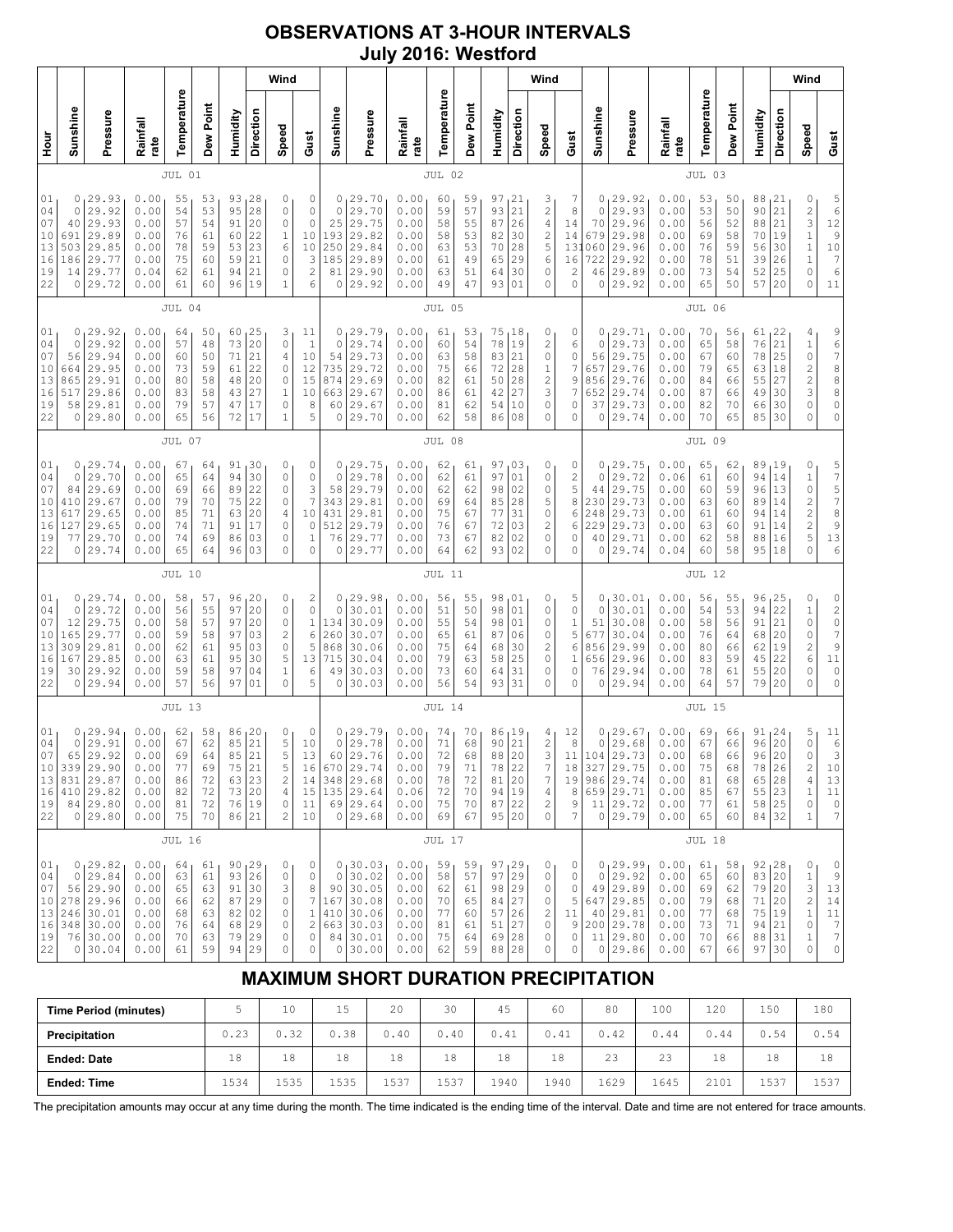## **OBSERVATIONS AT 3-HOUR INTERVALS July 2016: Westford**

| Wind                                         |                                                                                                 |                                                              |                                              |                                              |                                                                    |                                                                             |                                                                               |                                                                         |                                                        |                                                                         |          |                                                              |                                              |                                              |                                                            |                                              | Wind                                                                 |                                             |                                              |                                                                                                |                                                              |                                                  |                                              |                                                                       |                                               | Wind                                                                                                        |                                                                                                  |
|----------------------------------------------|-------------------------------------------------------------------------------------------------|--------------------------------------------------------------|----------------------------------------------|----------------------------------------------|--------------------------------------------------------------------|-----------------------------------------------------------------------------|-------------------------------------------------------------------------------|-------------------------------------------------------------------------|--------------------------------------------------------|-------------------------------------------------------------------------|----------|--------------------------------------------------------------|----------------------------------------------|----------------------------------------------|------------------------------------------------------------|----------------------------------------------|----------------------------------------------------------------------|---------------------------------------------|----------------------------------------------|------------------------------------------------------------------------------------------------|--------------------------------------------------------------|--------------------------------------------------|----------------------------------------------|-----------------------------------------------------------------------|-----------------------------------------------|-------------------------------------------------------------------------------------------------------------|--------------------------------------------------------------------------------------------------|
| Pressure<br>Rainfall<br>rate                 |                                                                                                 |                                                              | Temperature                                  | Dew Point                                    | Humidity                                                           | Direction                                                                   | Speed                                                                         | Gust                                                                    | Sunshine                                               |                                                                         | Pressure | Rainfall<br>rate                                             | Temperature                                  | Dew Point                                    | Humidity                                                   | Direction                                    | Speed                                                                | Gust                                        | Sunshine                                     | Pressure                                                                                       | Rainfall<br>rate                                             | Temperature                                      | Dew Point                                    | Humidity                                                              | Direction                                     | Speed                                                                                                       | Gust                                                                                             |
|                                              |                                                                                                 |                                                              | JUL 01                                       |                                              |                                                                    |                                                                             |                                                                               |                                                                         |                                                        |                                                                         |          |                                                              | JUL 02                                       |                                              |                                                            |                                              |                                                                      |                                             |                                              |                                                                                                |                                                              | JUL 03                                           |                                              |                                                                       |                                               |                                                                                                             |                                                                                                  |
| 0<br>503<br>186<br>14<br>0                   | 29.93<br>29.92<br>29.93<br>29.89<br>29.85<br>29.77<br>29.77<br>29.72                            | 0.00<br>0.00<br>0.00<br>0.00<br>0.00<br>0.00<br>0.04<br>0.00 | 55<br>54<br>57<br>76<br>78<br>75<br>62<br>61 | 53<br>53<br>54<br>61<br>59<br>60<br>61<br>60 | 93<br>95<br>91<br>60<br>53<br>59<br>94<br>96                       | $\begin{array}{c} 28 \\ 28 \end{array}$<br>20<br>22<br>23<br>21<br>21<br>19 | 0<br>$\circ$<br>$\circ$<br>$\mathbf 1$<br>6<br>$\circ$<br>0<br>$\mathbf 1$    | 0<br>$\circ$<br>0<br>10<br>10<br>3<br>$\overline{\mathbf{c}}$<br>6      | $\circ$<br>25<br>193<br>250<br>185<br>81<br>0          | 0, 29.70<br>29.70<br>29.75<br>29.82<br>29.84<br>29.89<br>29.90<br>29.92 |          | 0.00<br>0.00<br>0.00<br>0.00<br>0.00<br>0.00<br>0.00<br>0.00 | 60<br>59<br>58<br>58<br>63<br>61<br>63<br>49 | 59<br>57<br>55<br>53<br>53<br>49<br>51<br>47 | 97<br>93<br>87<br>82<br>70<br>65<br>64<br>93               | 21<br>21<br>26<br>30<br>28<br>29<br>30<br>01 | 3<br>$\overline{\mathbf{c}}$<br>4<br>2<br>5<br>6<br>0<br>0           | 7<br>8<br>14<br>14<br>13<br>16<br>2<br>0    | 0<br>0<br>70<br>679<br>060<br>722<br>46<br>0 | 29.92<br>29.93<br>29.96<br>29.98<br>29.96<br>29.92<br>29.89<br>29.92                           | 0.00<br>0.00<br>0.00<br>0.00<br>0.00<br>0.00<br>0.00<br>0.00 | 53<br>53<br>56<br>69<br>76<br>78<br>73<br>65     | 50<br>50<br>52<br>58<br>59<br>51<br>54<br>50 | 88<br>90<br>88<br>70<br>56<br>39<br>52<br>57 20                       | 21  <br>21<br>21<br>19<br>30<br>26<br>25      | 0<br>$\frac{2}{3}$<br>$\,1\,$<br>$\mathbf 1$<br>$\mathbf 1$<br>$\mathbb O$<br>0                             | 5<br>6<br>12<br>$\begin{array}{c} 9 \\ 10 \end{array}$<br>$\boldsymbol{7}$<br>6<br>11            |
|                                              |                                                                                                 |                                                              | JUL 04                                       |                                              |                                                                    |                                                                             |                                                                               |                                                                         |                                                        |                                                                         |          |                                                              | JUL 05                                       |                                              |                                                            |                                              |                                                                      |                                             |                                              |                                                                                                |                                                              | JUL 06                                           |                                              |                                                                       |                                               |                                                                                                             |                                                                                                  |
| 0<br>0<br>56<br>664<br>865<br>517<br>58<br>0 | 29.92<br>29.92<br>29.94<br>29.95<br>29.91<br>29.86<br>29.81<br>29.80                            | 0.00<br>0.00<br>0.00<br>0.00<br>0.00<br>0.00<br>0.00<br>0.00 | 64<br>57<br>60<br>73<br>80<br>83<br>79<br>65 | 50<br>48<br>50<br>59<br>58<br>58<br>57<br>56 | 60<br>73<br>71<br>61<br>48<br>43<br>47<br>72                       | 25<br>20<br>21<br>22<br>20<br>27<br>17<br>17                                | 3<br>$\circ$<br>4<br>0<br>$\circ$<br>$\mathbf 1$<br>0<br>$\mathbf 1$          | 11<br>$\mathbf{1}$<br>10<br>12<br>15<br>10<br>8<br>5                    | 0<br>$\circ$<br>54<br>735<br>874<br>663<br>60<br>0     | 129.79<br>29.74<br>29.73<br>29.72<br>29.69<br>29.67<br>29.67<br>29.70   |          | 0.00<br>0.00<br>0.00<br>0.00<br>0.00<br>0.00<br>0.00<br>0.00 | 61<br>60<br>63<br>75<br>82<br>86<br>81<br>62 | 53<br>54<br>58<br>66<br>61<br>61<br>62<br>58 | 75<br>78<br>83<br>72<br>50<br>42<br>54<br>86               | 18<br>19<br>21<br>28<br>28<br>27<br>10<br>08 | 0<br>2<br>0<br>$\mathbf 1$<br>$\overline{\mathbf{c}}$<br>3<br>0<br>0 | 0<br>6<br>0<br>7<br>9<br>7<br>0<br>0        | 0<br>0<br>56<br>657<br>856<br>652<br>37<br>0 | 29.71<br>29.73<br>29.75<br>29.76<br>29.76<br>29.74<br>29.73<br>29.74                           | 0.00<br>0.00<br>0.00<br>0.00<br>0.00<br>0.00<br>0.00<br>0.00 | 70<br>65<br>67<br>79<br>84<br>87<br>82<br>70     | 56<br>58<br>60<br>65<br>66<br>66<br>70<br>65 | $61_122$<br>76<br>78<br>63<br>55<br>49<br>66<br>85 30                 | 21<br>25<br>18<br>27<br>30<br>30              | 4<br>$\mathbf 1$<br>$\mathbb O$<br>$\overline{\mathbf{c}}$<br>$\overline{\mathbf{c}}$<br>3<br>0<br>$\Omega$ | 9<br>6<br>7<br>8<br>8<br>8<br>0<br>0                                                             |
|                                              |                                                                                                 |                                                              | JUL 07                                       |                                              |                                                                    |                                                                             |                                                                               |                                                                         |                                                        |                                                                         |          |                                                              | JUL 08                                       |                                              |                                                            |                                              |                                                                      |                                             |                                              |                                                                                                |                                                              | JUL 09                                           |                                              |                                                                       |                                               |                                                                                                             |                                                                                                  |
| 0<br>0<br>84<br>410<br>617<br>127<br>77<br>0 | 29.74<br>29.70<br>29.69<br>29.67<br>29.65<br>29.65<br>29.70<br>29.74                            | 0.00<br>0.00<br>0.00<br>0.00<br>0.00<br>0.00<br>0.00<br>0.00 | 67<br>65<br>69<br>79<br>85<br>74<br>74<br>65 | 64<br>64<br>66<br>70<br>71<br>71<br>69<br>64 | 91<br>94<br>89<br>75<br>63<br>91<br>86<br>96                       | 30<br>30<br>22<br>22<br>20<br>17<br>03<br>03                                | 0<br>$\circ$<br>$\circ$<br>0<br>4<br>0<br>$\Omega$<br>$\circ$                 | 0<br>0<br>3<br>$\overline{7}$<br>10<br>0<br>1<br>0                      | 0<br>$\mathbf 0$<br>58<br>343<br>431<br>512<br>76<br>0 | 29.75<br>29.78<br>29.79<br>29.81<br>29.81<br>29.79<br>29.77<br>29.77    |          | 0.00<br>0.00<br>0.00<br>0.00<br>0.00<br>0.00<br>0.00<br>0.00 | 62<br>62<br>62<br>69<br>75<br>76<br>73<br>64 | 61<br>61<br>62<br>64<br>67<br>67<br>67<br>62 | 97<br>97<br>98<br>85<br>77<br>72<br>82<br>93               | 03<br>01<br>02<br>28<br>31<br>03<br>02<br>02 | 0<br>0<br>0<br>5<br>$\circ$<br>2<br>0<br>0                           | 0<br>2<br>5<br>8<br>6<br>6<br>0<br>0        | 0<br>0<br>44<br>230<br>248<br>229<br>40<br>0 | 29.75<br>29.72<br>29.75<br>29.73<br>29.73<br>29.73<br>29.71<br>29.74                           | 0.00<br>0.06<br>0.00<br>0.00<br>0.00<br>0.00<br>0.00<br>0.04 | 65<br>61<br>60<br>63<br>61<br>63<br>62<br>60     | 62<br>60<br>59<br>60<br>60<br>60<br>58<br>58 | 89<br>94<br>96 13<br>89<br>94<br>91<br>88<br>95 18                    | 19 ر<br>14<br>14<br>14<br>14<br>16            | 0<br>$1\,$<br>$\mathbb O$<br>$\overline{\mathbf{c}}$<br>$\overline{c}$<br>$\overline{c}$<br>5<br>0          | 57578<br>9<br>13<br>6                                                                            |
|                                              |                                                                                                 |                                                              | <b>JUL 10</b>                                |                                              |                                                                    |                                                                             |                                                                               |                                                                         |                                                        |                                                                         |          |                                                              | <b>JUL 11</b>                                |                                              |                                                            |                                              |                                                                      |                                             |                                              |                                                                                                |                                                              | <b>JUL 12</b>                                    |                                              |                                                                       |                                               |                                                                                                             |                                                                                                  |
| 0<br>0<br>12<br>165<br>309<br>167<br>30<br>0 | 29.74<br>29.72<br>29.75<br>29.77<br>29.81<br>29.85<br>29.92<br>29.94                            | 0.00<br>0.00<br>0.00<br>0.00<br>0.00<br>0.00<br>0.00<br>0.00 | 58<br>56<br>58<br>59<br>62<br>63<br>59<br>57 | 57<br>55<br>57<br>58<br>61<br>61<br>58<br>56 | 96<br>97<br>97<br>97<br>95<br>95<br>97<br>97                       | 20<br>20<br>20<br>03<br>03<br>30<br>04<br>01                                | 0<br>$\circ$<br>0<br>$\overline{c}$<br>$\circ$<br>5<br>$\mathbf 1$<br>$\circ$ | $\overline{\mathbf{c}}$<br>$\circ$<br>$\,1\,$<br>6<br>5<br>13<br>6<br>5 | 0<br>$\circ$<br>134<br>260<br>868<br>715<br>49<br>0    | 29.98<br>30.01<br>30.09<br>30.07<br>30.06<br>30.04<br>30.03<br>30.03    |          | 0.00<br>0.00<br>0.00<br>0.00<br>0.00<br>0.00<br>0.00<br>0.00 | 56<br>51<br>55<br>65<br>75<br>79<br>73<br>56 | 55<br>50<br>54<br>61<br>64<br>63<br>60<br>54 | 98<br>98<br>98<br>87<br>68<br>58<br>64<br>93               | 01<br>01<br>01<br>06<br>30<br>25<br>31<br>31 | 0<br>0<br>0<br>0<br>2<br>0<br>0<br>0                                 | 5<br>0<br>1<br>5<br>6<br>1<br>0<br>0        | 0<br>0<br>51<br>677<br>856<br>656<br>76<br>0 | 30.01<br>30.01<br>30.08<br>30.04<br>29.99<br>29.96<br>29.94<br>29.94                           | 0.00<br>0.00<br>0.00<br>0.00<br>0.00<br>0.00<br>0.00<br>0.00 | 56<br>54<br>58<br>76<br>80<br>83<br>78<br>64     | 55<br>53<br>56<br>64<br>66<br>59<br>61<br>57 | 96<br>94<br>91<br>68<br>62<br>45<br>55<br>79                          | 125<br>22<br>21<br>20<br>19<br>22<br>20<br>20 | 0<br>$\,1$<br>0<br>0<br>$\sqrt{2}$<br>6<br>0<br>$\Omega$                                                    | 0<br>$\begin{array}{c} 2 \\ 0 \\ 7 \end{array}$<br>9<br>11<br>$\mathbb O$<br>0                   |
|                                              |                                                                                                 |                                                              | JUL 13                                       |                                              |                                                                    |                                                                             |                                                                               |                                                                         |                                                        |                                                                         |          |                                                              | JUL 14                                       |                                              |                                                            |                                              |                                                                      |                                             |                                              |                                                                                                |                                                              | <b>JUL 15</b>                                    |                                              |                                                                       |                                               |                                                                                                             |                                                                                                  |
| 0<br>$\circ$<br>65                           | 29.94<br>29.91<br>29.92<br>10 339 29.90<br>13 831 29.87<br>$410$   29.82<br>84 29.80<br>0 29.80 | 0.00<br>0.00<br>0.00<br>0.00<br>0.00<br>0.00<br>0.00<br>0.00 | 62<br>67<br>69<br>77<br>86<br>82<br>81<br>75 | 58<br>62<br>64<br>69<br>72<br>72<br>72<br>70 | 86<br>85<br>85<br>75 21<br>63 23<br>73 20<br>76 19<br>86 21        | 20<br>$\overline{21}$<br>21                                                 | 0<br>5<br>5<br>5<br>$\mathbf{2}$<br>4<br>$\mathbb O$<br>$\overline{c}$        | 0<br>10<br>13<br>16<br>14<br>15<br>11<br>10                             | $\circ$<br>60<br>670 29.74<br>348 29.68<br>135 29.64   | 0, 29.79<br>29.78<br>29.76<br>69 29.64<br>0 29.68                       |          | 0.00<br>0.00<br>0.00<br>0.00<br>0.00<br>0.06<br>0.00<br>0.00 | 74<br>71<br>72<br>79<br>78<br>72<br>75<br>69 | 70<br>68<br>68<br>71<br>72<br>70<br>70<br>67 | 86<br>90<br>88<br>78<br>81<br>94<br>87<br>95 20            | 19 ا<br>21<br>20<br>22<br>20<br>19<br>22     | 4<br>2<br>3<br>7<br>4<br>$\overline{c}$<br>$\circ$                   | 12<br>8<br>11<br>18<br>8<br>9<br>7          | 0<br>0<br>104                                | 29.67<br>29.68<br>29.73<br>327 29.75<br>19 986 29.74<br>659 29.71<br>11 29.72<br>0 29.79       | 0.00<br>0.00<br>0.00<br>0.00<br>0.00<br>0.00<br>0.00<br>0.00 | 69<br>67<br>68<br>75<br>81<br>85<br>77<br>65     | 66<br>66<br>66<br>68<br>68<br>67<br>61<br>60 | $91_124$<br>96<br>96<br>78   26<br>65 28<br>55 23<br>58 25<br>84 32   | 20<br>20                                      | 5<br>$\mathbb O$<br>0<br>2<br>$\overline{4}$<br>$\,1$<br>0<br>1                                             | $\begin{array}{c} 11 \\ 6 \\ 3 \end{array}$<br>10<br>13<br>11<br>$\mathbb O$<br>$\boldsymbol{7}$ |
|                                              | <b>JUL 16</b>                                                                                   |                                                              |                                              |                                              |                                                                    |                                                                             |                                                                               |                                                                         |                                                        |                                                                         |          |                                                              | <b>JUL 17</b>                                |                                              |                                                            |                                              |                                                                      |                                             |                                              |                                                                                                |                                                              | <b>JUL 18</b>                                    |                                              |                                                                       |                                               |                                                                                                             |                                                                                                  |
|                                              | 0, 29.82<br>0 29.84<br>56 29.90<br>278 29.96<br>246 30.01<br>348 30.00<br>76 30.00<br>0 30.04   | 0.00<br>0.00<br>0.00<br>0.00<br>0.00<br>0.00<br>0.00<br>0.00 | 64<br>63<br>65<br>66<br>68<br>76<br>70<br>61 | 61<br>61<br>63<br>62<br>63<br>64<br>63<br>59 | 90, 29<br>93 26<br>91 30<br>87 29<br>82 02<br>68<br>79 29<br>94 29 | 29                                                                          | 0<br>$\mathbb O$<br>3<br>0<br>$\mathbb O$<br>0<br>0<br>0                      | 0<br>0<br>8<br>7<br>$\,1\,$<br>2<br>$\mathbb O$<br>0                    | $\circ$<br>167<br>410 30.06<br>663 30.03               | 0, 30.03<br>30.02<br>90 30.05<br> 30.08<br>84 30.01<br>0 30.00          |          | 0.00<br>0.00<br>0.00<br>0.00<br>0.00<br>0.00<br>0.00<br>0.00 | 59<br>58<br>62<br>70<br>77<br>81<br>75<br>62 | 59<br>57<br>61<br>65<br>60<br>61<br>64<br>59 | 97, 29<br>97<br>98 29<br>84 <br>57<br>51<br>69 28<br>88 28 | 29<br>27<br>26<br>27                         | 0<br>0<br>0<br>$\mathbb O$<br>2<br>0<br>0<br>0                       | 0<br>0<br>0<br>5<br>11<br>9<br>$\circ$<br>0 |                                              | 0, 29.99<br>$0$ 29.92<br>49 29.89<br>647 29.85<br>40 29.81<br>200 29.78<br>11 29.80<br>0 29.86 | 0.00<br>0.00<br>0.00<br>0.00<br>0.00<br>0.00<br>0.00<br>0.00 | $61_1$<br>65<br>69<br>79<br>77<br>73<br>70<br>67 | 58<br>60<br>62<br>68<br>68<br>71<br>66<br>66 | 92, 28<br>83 20<br>79 20<br>71 20<br>75 19<br>94 21<br>88 31<br>97 30 |                                               | 0<br>$\,1$<br>3<br>$\overline{\mathbf{c}}$<br>$\,1$<br>0<br>1<br>0                                          | $\circ$<br>$\,9$<br>13<br>14<br>$11\,$<br>$\boldsymbol{7}$<br>$\boldsymbol{7}$<br>0              |

# **MAXIMUM SHORT DURATION PRECIPITATION**

| <b>Time Period (minutes)</b> |      | 10           | 15   | 20   | 30   | 45   | 60   | 80   | 100  | 120  | 150  | 180  |
|------------------------------|------|--------------|------|------|------|------|------|------|------|------|------|------|
| Precipitation                | 0.23 | 0.32         | J.38 | 0.40 | 0.40 | 0.41 | 0.41 | 0.42 | 0.44 | 0.44 | 0.54 | 0.54 |
| <b>Ended: Date</b>           | 18   | 18           | 18   | 18   | 18   | 18   | 18   | 23   | 23   | 18   | 18   | 18   |
| <b>Ended: Time</b>           | 1534 | 1535<br>ᆂᇦᇰᇰ | 1535 | 1537 | 1537 | 1940 | 1940 | 1629 | 1645 | 2101 | 1537 | 1537 |

The precipitation amounts may occur at any time during the month. The time indicated is the ending time of the interval. Date and time are not entered for trace amounts.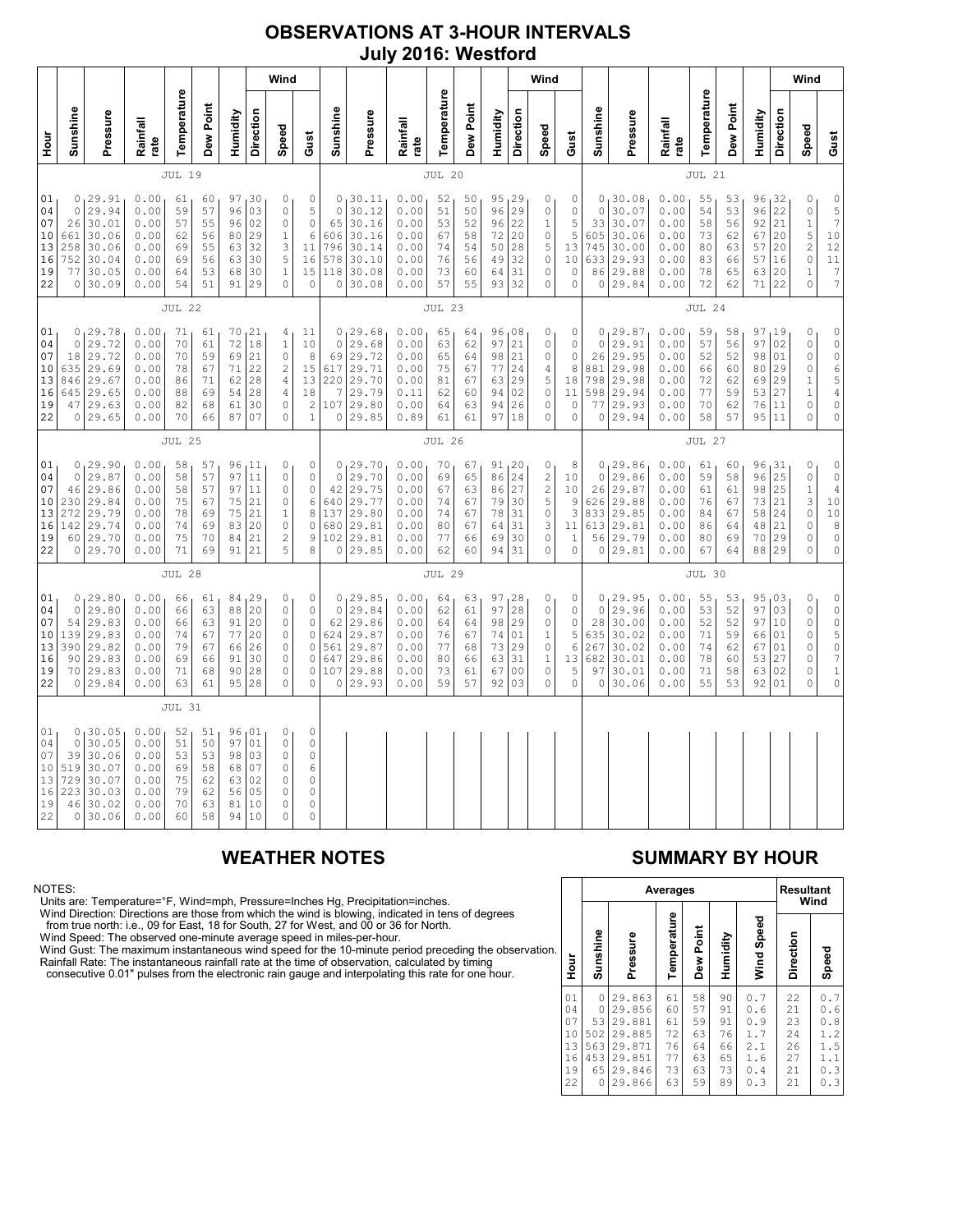### **OBSERVATIONS AT 3-HOUR INTERVALS July 2016: Westford**

|                                              |                                                    |                                                                           | Wind                                                         |                                              |                                              |                                              |                                               |                                                                                                         |                                                                                         |                                                    |                                                                             |                                                              |                                              |                                              |                                                  |                                                                             | Wind                                                                                      |                                                                   |                                                     |                                                                           |                                                              |                                              |                                              |                                                     |                                                | Wind                                                                                        |                                                                                                                                      |
|----------------------------------------------|----------------------------------------------------|---------------------------------------------------------------------------|--------------------------------------------------------------|----------------------------------------------|----------------------------------------------|----------------------------------------------|-----------------------------------------------|---------------------------------------------------------------------------------------------------------|-----------------------------------------------------------------------------------------|----------------------------------------------------|-----------------------------------------------------------------------------|--------------------------------------------------------------|----------------------------------------------|----------------------------------------------|--------------------------------------------------|-----------------------------------------------------------------------------|-------------------------------------------------------------------------------------------|-------------------------------------------------------------------|-----------------------------------------------------|---------------------------------------------------------------------------|--------------------------------------------------------------|----------------------------------------------|----------------------------------------------|-----------------------------------------------------|------------------------------------------------|---------------------------------------------------------------------------------------------|--------------------------------------------------------------------------------------------------------------------------------------|
| Hour<br>H                                    | Sunshine                                           | Pressure                                                                  | Rainfall<br>rate                                             | Temperature                                  | Dew Point                                    | Humidity                                     | Direction                                     | Speed                                                                                                   | Gust                                                                                    | Sunshine                                           | Pressure                                                                    | Rainfall<br>rate                                             | Temperature                                  | Dew Point                                    | Humidity                                         | Direction                                                                   | Speed                                                                                     | Gust                                                              | Sunshine                                            | Pressure                                                                  | Rainfall<br>rate                                             | Temperature                                  | Dew Point                                    | Humidity                                            | Direction                                      | Speed                                                                                       | Gust                                                                                                                                 |
|                                              | <b>JUL 19</b>                                      |                                                                           |                                                              |                                              |                                              |                                              |                                               |                                                                                                         |                                                                                         |                                                    | <b>JUL 20</b>                                                               |                                                              |                                              |                                              |                                                  |                                                                             |                                                                                           |                                                                   |                                                     | JUL 21                                                                    |                                                              |                                              |                                              |                                                     |                                                |                                                                                             |                                                                                                                                      |
| 01<br>04<br>07<br>10<br>13<br>16<br>19<br>22 | 0<br>0<br>26<br>661<br>258<br>752<br>77<br>0       | 29.91<br>29.94<br>30.01<br>30.06<br>30.06<br>30.04<br>30.05<br>30.09      | 0.00<br>0.00<br>0.00<br>0.00<br>0.00<br>0.00<br>0.00<br>0.00 | 61<br>59<br>57<br>62<br>69<br>69<br>64<br>54 | 60<br>57<br>55<br>56<br>55<br>56<br>53<br>51 | 97<br>96<br>96<br>80<br>63<br>63<br>68<br>91 | 30<br>03<br>02<br>29<br>32<br>30<br>30<br>29  | 0<br>$\mathbb O$<br>$\circ$<br>$1\,$<br>3<br>5<br>$\mathbf 1$<br>$\mathbf 0$                            | 0<br>5<br>$\circ$<br>6<br>11<br>16<br>15<br>0                                           | $\circ$<br>65<br>606<br>796<br>578<br>118<br>0     | 0, 30.11<br>30.12<br>30.16<br>30.16<br>30.14<br>30.10<br>30.08<br>30.08     | 0.00<br>0.00<br>0.00<br>0.00<br>0.00<br>0.00<br>0.00<br>0.00 | 52<br>51<br>53<br>67<br>74<br>76<br>73<br>57 | 50<br>50<br>52<br>58<br>54<br>56<br>60<br>55 | 95<br>96<br>96<br>72<br>50<br>49<br>64<br>93     | $\begin{array}{c} 29 \\ 29 \end{array}$<br>22<br>20<br>28<br>32<br>31<br>32 | 0<br>0<br>$\mathbf{1}$<br>0<br>5<br>$\mathbb O$<br>0<br>0                                 | 0<br>0<br>$\mathsf S$<br>5<br>13<br>10<br>0<br>0                  | $\circ$<br>33<br>605<br>745<br>633<br>86<br>0       | 0, 30.08<br>30.07<br>30.07<br>30.06<br>30.00<br>29.93<br>29.88<br>29.84   | 0.00<br>0.00<br>0.00<br>0.00<br>0.00<br>0.00<br>0.00<br>0.00 | 55<br>54<br>58<br>73<br>80<br>83<br>78<br>72 | 53<br>53<br>56<br>62<br>63<br>66<br>65<br>62 | 96<br>96<br>92<br>67<br>57<br>57<br>63<br>71        | 32 ا<br>22<br>21<br>20<br>20<br>16<br>20<br>22 | 0<br>$\mathbb O$<br>$\mathbf 1$<br>5<br>$\overline{c}$<br>$\circ$<br>$\mathbf 1$<br>$\circ$ | $\begin{array}{c} 0 \\ 5 \\ 7 \end{array}$<br>$\begin{array}{c} 10 \\ 12 \end{array}$<br>11<br>$\begin{array}{c} 7 \\ 7 \end{array}$ |
|                                              | <b>JUL 22</b>                                      |                                                                           |                                                              |                                              |                                              |                                              |                                               | <b>JUL 23</b>                                                                                           |                                                                                         |                                                    |                                                                             |                                                              |                                              |                                              |                                                  |                                                                             | JUL 24                                                                                    |                                                                   |                                                     |                                                                           |                                                              |                                              |                                              |                                                     |                                                |                                                                                             |                                                                                                                                      |
| 01<br>04<br>07<br>10<br>13<br>16<br>19<br>22 | $\circ$<br>18<br>635<br>846<br>645<br>47<br>0      | 0, 29.78<br>29.72<br>29.72<br>29.69<br>29.67<br>29.65<br>29.63<br>29.65   | 0.00<br>0.00<br>0.00<br>0.00<br>0.00<br>0.00<br>0.00<br>0.00 | 71<br>70<br>70<br>78<br>86<br>88<br>82<br>70 | 61<br>61<br>59<br>67<br>71<br>69<br>68<br>66 | 70<br>72<br>69<br>71<br>62<br>54<br>61<br>87 | 121<br>18<br>21<br>22<br>28<br>28<br>30<br>07 | 4<br>$\mathbf 1$<br>$\circ$<br>$\overline{c}$<br>$\sqrt{4}$<br>$\overline{4}$<br>$\circ$<br>$\mathbf 0$ | 11<br>10<br>8<br>15<br>13<br>18<br>$\overline{c}$<br>$\mathbf{1}$                       | $\circ$<br>69<br>617<br>220<br>7<br>0              | 0, 29.68<br>29.68<br>29.72<br>29.71<br>29.70<br>29.79<br>107 29.80<br>29.85 | 0.00<br>0.00<br>0.00<br>0.00<br>0.00<br>0.11<br>0.00<br>0.89 | 65<br>63<br>65<br>75<br>81<br>62<br>64<br>61 | 64<br>62<br>64<br>67<br>67<br>60<br>63<br>61 | 96,08<br>97<br>98<br>77<br>63<br>94<br>94<br>97  | $\overline{21}$<br>21<br>24<br>29<br>02<br>26<br>18                         | 0<br>0<br>0<br>4<br>5<br>0<br>0<br>0                                                      | 0<br>0<br>0<br>$\,8\,$<br>18<br>11<br>$\mathbb O$<br>0            | $\circ$<br>26<br>881<br>798<br>598<br>77<br>$\circ$ | 0, 29.87<br>29.91<br>29.95<br>29.98<br>29.98<br>29.94<br>29.93<br>29.94   | 0.00<br>0.00<br>0.00<br>0.00<br>0.00<br>0.00<br>0.00<br>0.00 | 59<br>57<br>52<br>66<br>72<br>77<br>70<br>58 | 58<br>56<br>52<br>60<br>62<br>59<br>62<br>57 | 97, 19<br>97<br>98<br>80<br>69<br>53<br>76<br>95 11 | 02<br>01<br>29<br>29<br>27<br>11               | 0<br>$\mathbb O$<br>0<br>$\mathbb O$<br>$\,1$<br>$\mathbf{1}$<br>0<br>0                     | $\begin{matrix} 0 \\ 0 \end{matrix}$<br>0654<br>$\mathbb O$<br>$\mathbb O$                                                           |
|                                              |                                                    |                                                                           |                                                              | JUL 25                                       |                                              |                                              |                                               |                                                                                                         |                                                                                         | <b>JUL 26</b>                                      |                                                                             |                                                              |                                              |                                              |                                                  |                                                                             |                                                                                           |                                                                   |                                                     | JUL 27                                                                    |                                                              |                                              |                                              |                                                     |                                                |                                                                                             |                                                                                                                                      |
| 01<br>04<br>07<br>10<br>13<br>16<br>19<br>22 | 0<br>46<br>230<br>272<br>142<br>60                 | 0, 29.90<br>29.87<br>29.86<br>29.84<br>29.79<br>29.74<br>29.70<br>0 29.70 | 0.00<br>0.00<br>0.00<br>0.00<br>0.00<br>0.00<br>0.00<br>0.00 | 58<br>58<br>58<br>75<br>78<br>74<br>75<br>71 | 57<br>57<br>57<br>67<br>69<br>69<br>70<br>69 | 96<br>97<br>97<br>75<br>75<br>83<br>84<br>91 | 11<br>11<br>11<br>21<br>21<br>20<br>21<br>21  | 0<br>$\circ$<br>$\circ$<br>$\circ$<br>$\mathbf 1$<br>0<br>$\overline{c}$<br>5                           | $\mathbb O$<br>$\mathbb O$<br>$\circ$<br>$\epsilon$<br>8<br>$\circ$<br>$\mathsf 9$<br>8 | $\mathbb O$<br>42<br>640<br>137<br>680<br>102<br>0 | 0, 29.70<br>29.70<br>29.75<br>29.77<br>29.80<br>29.81<br>29.81<br>29.85     | 0.00<br>0.00<br>0.00<br>0.00<br>0.00<br>0.00<br>0.00<br>0.00 | 70<br>69<br>67<br>74<br>74<br>80<br>77<br>62 | 67<br>65<br>63<br>67<br>67<br>67<br>66<br>60 | 91, 20<br>86<br>86<br>79<br>78<br>64<br>69<br>94 | 24<br>27<br>30<br>31<br>31<br>30<br>31                                      | 0<br>$\overline{\mathbf{c}}$<br>$\overline{c}$<br>5<br>0<br>3<br>$\mathsf{O}\xspace$<br>0 | 8<br>10<br>10<br>9<br>3<br>11<br>$\,1\,$<br>0                     | $\Omega$<br>26<br>626<br>833<br>613<br>56           | 0, 29.86<br>29.86<br>29.87<br>29.88<br>29.85<br>29.81<br>29.79<br>0 29.81 | 0.00<br>0.00<br>0.00<br>0.00<br>0.00<br>0.00<br>0.00<br>0.00 | 61<br>59<br>61<br>76<br>84<br>86<br>80<br>67 | 60<br>58<br>61<br>67<br>67<br>64<br>69<br>64 | 96<br>96<br>98<br>73<br>58<br>48<br>70<br>88 29     | 131<br>25<br>25<br>21<br>24<br>21<br>29        | 0<br>$\mathbb O$<br>$\mathbf 1$<br>3<br>$\mathbb O$<br>0<br>$\circ$<br>0                    | 0<br>$\circ$<br>$\overline{4}$<br>10<br>10<br>8<br>$\mathbb O$<br>$\mathbb O$                                                        |
|                                              |                                                    |                                                                           |                                                              | <b>JUL 28</b>                                |                                              |                                              |                                               |                                                                                                         |                                                                                         |                                                    |                                                                             |                                                              | <b>JUL 29</b>                                |                                              |                                                  |                                                                             |                                                                                           |                                                                   |                                                     |                                                                           |                                                              | JUL 30                                       |                                              |                                                     |                                                |                                                                                             |                                                                                                                                      |
| 01<br>04<br>07<br>10<br>13<br>16<br>19<br>22 | 0<br>$\circ$<br>54<br>139<br>390<br>90<br>70<br>0  | 129.80<br>29.80<br>29.83<br>29.83<br>29.82<br>29.83<br>29.83<br>29.84     | 0.00<br>0.00<br>0.00<br>0.00<br>0.00<br>0.00<br>0.00<br>0.00 | 66<br>66<br>66<br>74<br>79<br>69<br>71<br>63 | 61<br>63<br>63<br>67<br>67<br>66<br>68<br>61 | 84<br>88<br>91<br>77<br>66<br>91<br>90<br>95 | 29<br>20<br>20<br>20<br>26<br>30<br>28<br>28  | 0<br>$\circ$<br>$\circ$<br>$\circ$<br>$\mathbb O$<br>$\mathbf 0$<br>0<br>$\mathbf 0$                    | 0<br>$\circ$<br>$\circ$<br>$\circ$<br>$\circ$<br>$\circ$<br>$\circ$<br>0                | $\mathbf 0$<br>62<br>624<br>561<br>647<br>107<br>0 | 0, 29.85<br>29.84<br>29.86<br>29.87<br>29.87<br>29.86<br>29.88<br>29.93     | 0.00<br>0.00<br>0.00<br>0.00<br>0.00<br>0.00<br>0.00<br>0.00 | 64<br>62<br>64<br>76<br>77<br>80<br>73<br>59 | 63<br>61<br>64<br>67<br>68<br>66<br>61<br>57 | 97<br>97<br>98<br>74<br>$73\,$<br>63<br>67<br>92 | 28<br>28<br>29<br>01<br>29<br>31<br>0 <sub>0</sub><br>03                    | 0<br>0<br>0<br>$1\,$<br>0<br>$\mathbf{1}$<br>0<br>0                                       | 0<br>0<br>$\mathsf{O}\xspace$<br>$\mathbf 5$<br>6<br>13<br>5<br>0 | 0<br>28<br>635<br>267<br>682<br>97<br>0             | 0, 29.95<br>29.96<br>30.00<br>30.02<br>30.02<br>30.01<br>30.01<br>30.06   | 0.00<br>0.00<br>0.00<br>0.00<br>0.00<br>0.00<br>0.00<br>0.00 | 55<br>53<br>52<br>71<br>74<br>78<br>71<br>55 | 53<br>52<br>52<br>59<br>62<br>60<br>58<br>53 | 95,03<br>97<br>97<br>66<br>67<br>53<br>63<br>92     | 03<br>10<br>01<br>01<br>27<br>02<br>01         | 0<br>$\mathbb O$<br>$\circ$<br>0<br>0<br>0<br>$\circ$<br>0                                  | $\begin{matrix} 0 \\ 0 \end{matrix}$<br>$0$<br>5<br>0<br>7<br>$\begin{matrix} 1 \\ 0 \end{matrix}$                                   |
|                                              |                                                    |                                                                           |                                                              | <b>JUL 31</b>                                |                                              |                                              |                                               |                                                                                                         |                                                                                         |                                                    |                                                                             |                                                              |                                              |                                              |                                                  |                                                                             |                                                                                           |                                                                   |                                                     |                                                                           |                                                              |                                              |                                              |                                                     |                                                |                                                                                             |                                                                                                                                      |
| 01<br>04<br>07<br>10<br>13<br>16<br>19<br>22 | 0<br>$\circ$<br>39<br>519<br>729<br>223<br>46<br>0 | 30.05<br>30.05<br>30.06<br>30.07<br>30.07<br>30.03<br>30.02<br>30.06      | 0.00<br>0.00<br>0.00<br>0.00<br>0.00<br>0.00<br>0.00<br>0.00 | 52<br>51<br>53<br>69<br>75<br>79<br>70<br>60 | 51<br>50<br>53<br>58<br>62<br>62<br>63<br>58 | 96<br>97<br>98<br>68<br>63<br>56<br>81<br>94 | 01<br>01<br>03<br>07<br>02<br>05<br>10<br>10  | 0<br>$\circ$<br>$\circ$<br>$\circ$<br>0<br>0<br>$\circ$<br>$\Omega$                                     | 0<br>$\circ$<br>$\circ$<br>6<br>$\circ$<br>0<br>$\circ$<br>$\Omega$                     |                                                    |                                                                             |                                                              |                                              |                                              |                                                  |                                                                             |                                                                                           |                                                                   |                                                     |                                                                           |                                                              |                                              |                                              |                                                     |                                                |                                                                                             |                                                                                                                                      |

NOTES:<br>Units are: Temperature=°F, Wind=mph, Pressure=Inches Hg, Precipitation=inches.<br>Units are: Temperature=°F, Wind=mph, Pressure=Inches Hg, Precipitation=inches.<br>from true north: i.e., 09 for East, 18 for South, 27 for

# **WEATHER NOTES SUMMARY BY HOUR**

|    |                                              |                                                     | Averages                                                                     | <b>Resultant</b><br>Wind                     |                                              |                                              |                                                           |                                              |                                                                 |
|----|----------------------------------------------|-----------------------------------------------------|------------------------------------------------------------------------------|----------------------------------------------|----------------------------------------------|----------------------------------------------|-----------------------------------------------------------|----------------------------------------------|-----------------------------------------------------------------|
| n. | Hour                                         | Sunshine                                            | Pressure                                                                     | Temperature                                  | Dew Point                                    | Humidity                                     | Wind Speed                                                | Direction                                    | Speed                                                           |
|    | 01<br>04<br>07<br>10<br>13<br>16<br>19<br>22 | 0<br>0<br>53<br>502<br>563<br>453<br>65<br>$\Omega$ | 29.863<br>29.856<br>29.881<br>29.885<br>29.871<br>29.851<br>29.846<br>29.866 | 61<br>60<br>61<br>72<br>76<br>77<br>73<br>63 | 58<br>57<br>59<br>63<br>64<br>63<br>63<br>59 | 90<br>91<br>91<br>76<br>66<br>65<br>73<br>89 | 0.7<br>0.6<br>0<br>. 9<br>1.7<br>2.1<br>1.6<br>0.4<br>0.3 | 22<br>21<br>23<br>24<br>26<br>27<br>21<br>21 | $0.7$<br>0<br>. 6<br>0<br>.8<br>1.2<br>1.5<br>1.1<br>0.3<br>0.3 |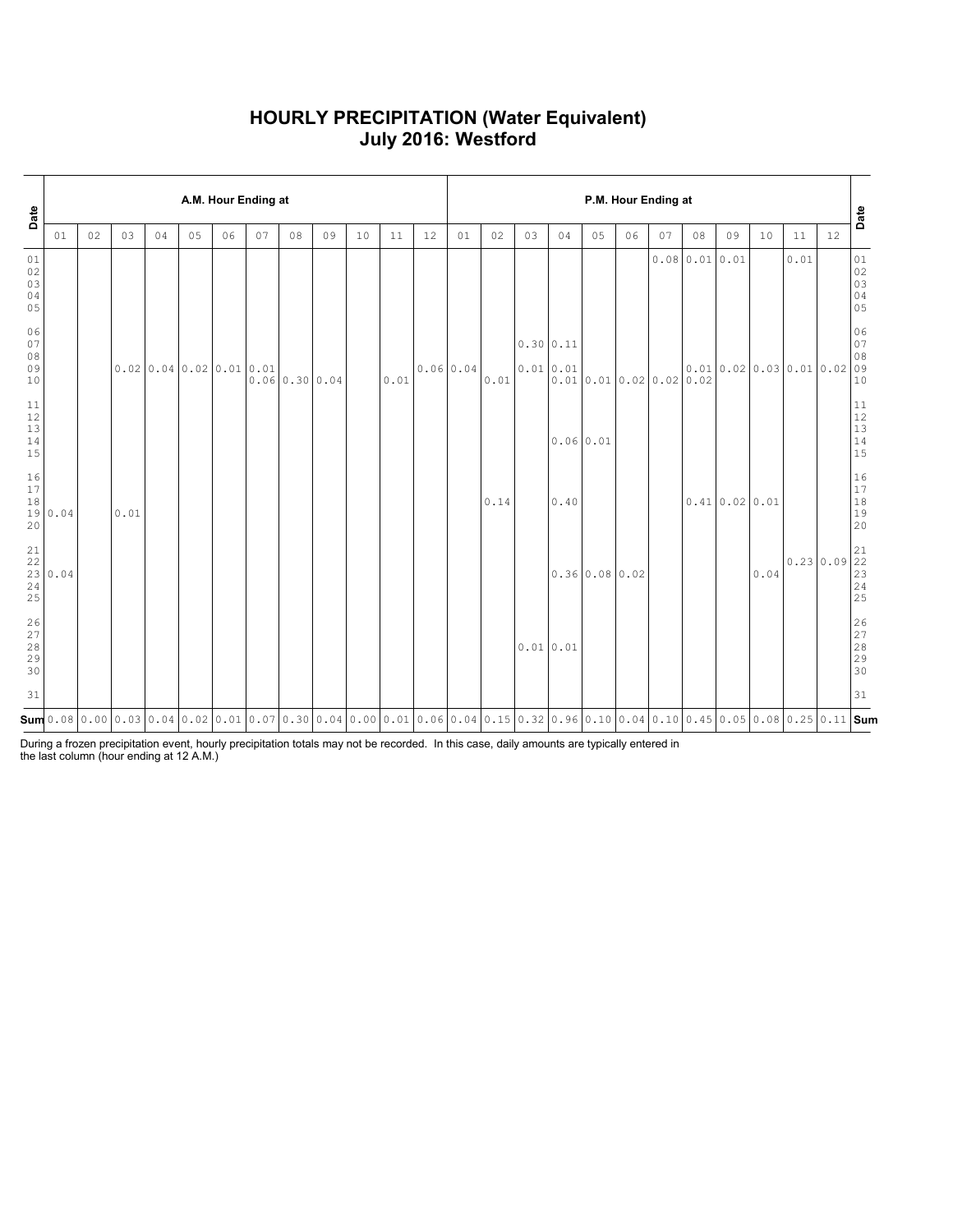### **HOURLY PRECIPITATION (Water Equivalent) July 2016: Westford**

| Date                                                |         |    |      |                       |                | A.M. Hour Ending at |    |                |    |    |      |                                                                                                                                                        | P.M. Hour Ending at |      |                        |           |                        |    |                      |               |                        |      |           |    |                                                            |
|-----------------------------------------------------|---------|----|------|-----------------------|----------------|---------------------|----|----------------|----|----|------|--------------------------------------------------------------------------------------------------------------------------------------------------------|---------------------|------|------------------------|-----------|------------------------|----|----------------------|---------------|------------------------|------|-----------|----|------------------------------------------------------------|
|                                                     | 01      | 02 | 03   | 04                    | 0 <sub>5</sub> | 06                  | 07 | 08             | 09 | 10 | 11   | 12                                                                                                                                                     | 01                  | 02   | 03                     | 04        | 05                     | 06 | 07                   | 08            | 09                     | 10   | 11        | 12 | Date                                                       |
| 01<br>$02$<br>03<br>04<br>05                        |         |    |      |                       |                |                     |    |                |    |    |      |                                                                                                                                                        |                     |      |                        |           |                        |    |                      | 0.0800.010.01 |                        |      | 0.01      |    | 01<br>$\begin{array}{c} 02 \\ 03 \end{array}$<br>04<br>05  |
| 06<br>07<br>08<br>09<br>10                          |         |    |      | 0.0200.040.020.010.01 |                |                     |    | 0.06 0.30 0.04 |    |    | 0.01 |                                                                                                                                                        | 0.0600.04           | 0.01 | 0.30 0.11<br>0.01 0.01 |           |                        |    | 0.010.010.020.020.02 |               | 0.010.020.030.010.0209 |      |           |    | 06<br>07<br>08<br>10                                       |
| 11<br>$12$<br>13<br>$14$<br>15                      |         |    |      |                       |                |                     |    |                |    |    |      |                                                                                                                                                        |                     |      |                        | 0.0600.01 |                        |    |                      |               |                        |      |           |    | $11\,$<br>12<br>13<br>14<br>15                             |
| $16$<br>$17$<br>$1\,8$<br>20                        | 19 0.04 |    | 0.01 |                       |                |                     |    |                |    |    |      |                                                                                                                                                        |                     | 0.14 |                        | 0.40      |                        |    |                      |               | $0.41$ 0.02 0.01       |      |           |    | 16<br>$17\,$<br>$1\,8$<br>19<br>20                         |
| $\begin{array}{c} 21 \\ 22 \end{array}$<br>24<br>25 | 23 0.04 |    |      |                       |                |                     |    |                |    |    |      |                                                                                                                                                        |                     |      |                        |           | $0.36 \, 0.08 \, 0.02$ |    |                      |               |                        | 0.04 | 0.2300.09 |    | 21<br> 22<br>$\begin{array}{c} 23 \\ 24 \end{array}$<br>25 |
| $26$<br>27<br>$2\,8$<br>29<br>30                    |         |    |      |                       |                |                     |    |                |    |    |      |                                                                                                                                                        |                     |      | 0.01 0.01              |           |                        |    |                      |               |                        |      |           |    | 26<br>27<br>28<br>29<br>30                                 |
| 31                                                  |         |    |      |                       |                |                     |    |                |    |    |      |                                                                                                                                                        |                     |      |                        |           |                        |    |                      |               |                        |      |           |    | 31                                                         |
|                                                     |         |    |      |                       |                |                     |    |                |    |    |      | $\mathsf{Sum}$ 0.08 0.00 0.03 0.04 0.02 0.01 0.07 0.30 0.04 0.00 0.01 0.06 0.04 0.15 0.32 0.96 0.10 0.04 0.10 0.45 0.05 0.08 0.25 0.11  $\mathsf{Sum}$ |                     |      |                        |           |                        |    |                      |               |                        |      |           |    |                                                            |

During a frozen precipitation event, hourly precipitation totals may not be recorded. In this case, daily amounts are typically entered in the last column (hour ending at 12 A.M.)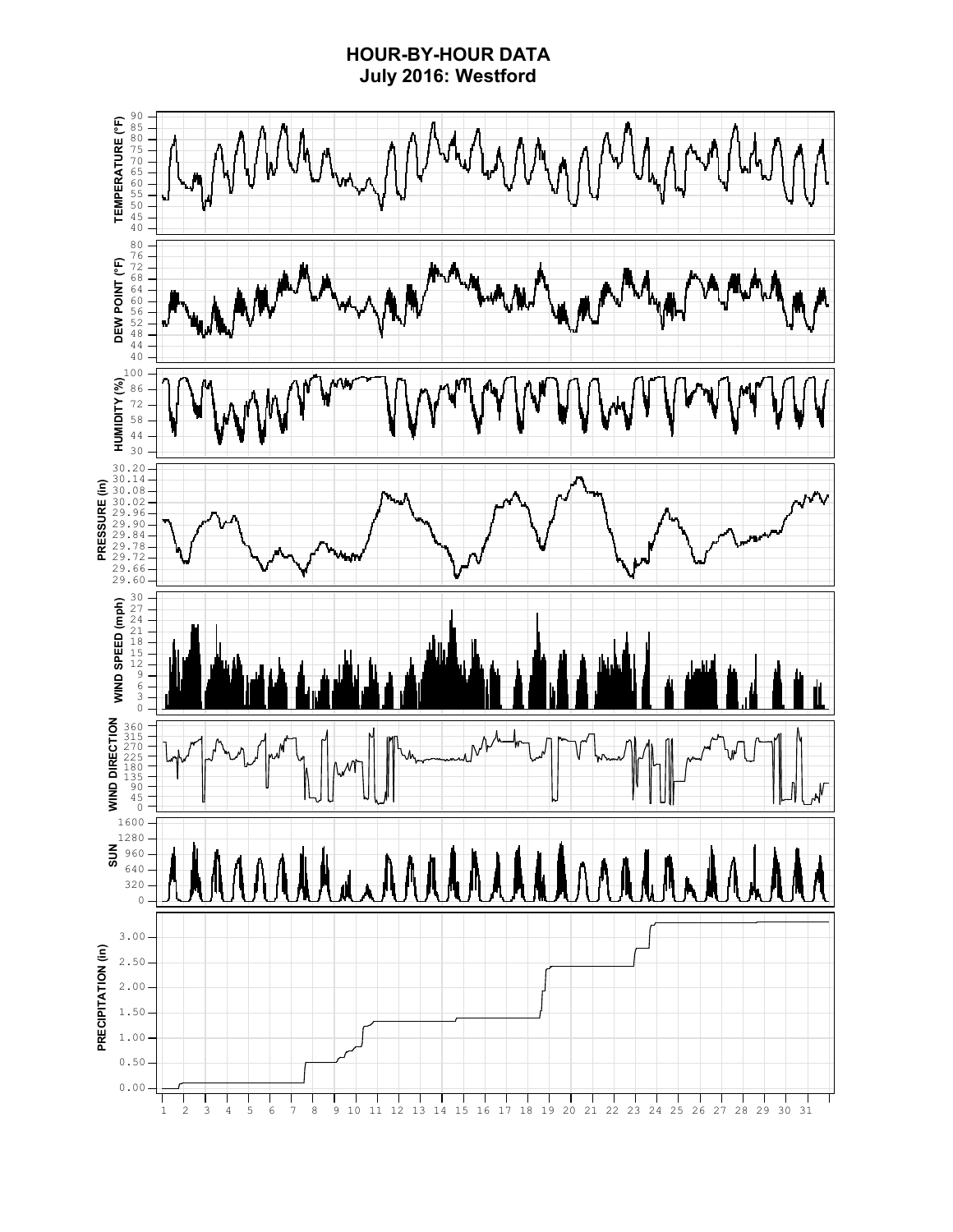## **HOUR-BY-HOUR DATA July 2016: Westford**